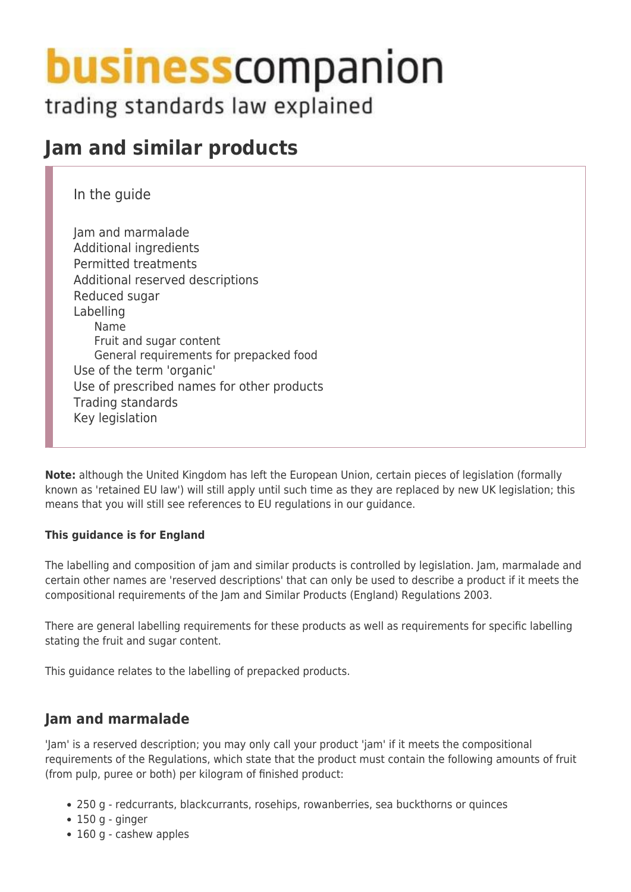# **business** companion

trading standards law explained

## **Jam and similar products**

In the guide

Jam and marmalade Additional ingredients Permitted treatments Additional reserved descriptions Reduced sugar Labelling Name Fruit and sugar content General requirements for prepacked food Use of the term 'organic' Use of prescribed names for other products Trading standards Key legislation

**Note:** although the United Kingdom has left the European Union, certain pieces of legislation (formally known as 'retained EU law') will still apply until such time as they are replaced by new UK legislation; this means that you will still see references to EU regulations in our guidance.

#### **This guidance is for England**

The labelling and composition of jam and similar products is controlled by legislation. Jam, marmalade and certain other names are 'reserved descriptions' that can only be used to describe a product if it meets the compositional requirements of the Jam and Similar Products (England) Regulations 2003.

There are general labelling requirements for these products as well as requirements for specific labelling stating the fruit and sugar content.

This guidance relates to the labelling of prepacked products.

## **Jam and marmalade**

'Jam' is a reserved description; you may only call your product 'jam' if it meets the compositional requirements of the Regulations, which state that the product must contain the following amounts of fruit (from pulp, puree or both) per kilogram of finished product:

- 250 g redcurrants, blackcurrants, rosehips, rowanberries, sea buckthorns or quinces
- $\cdot$  150 g ginger
- 160 g cashew apples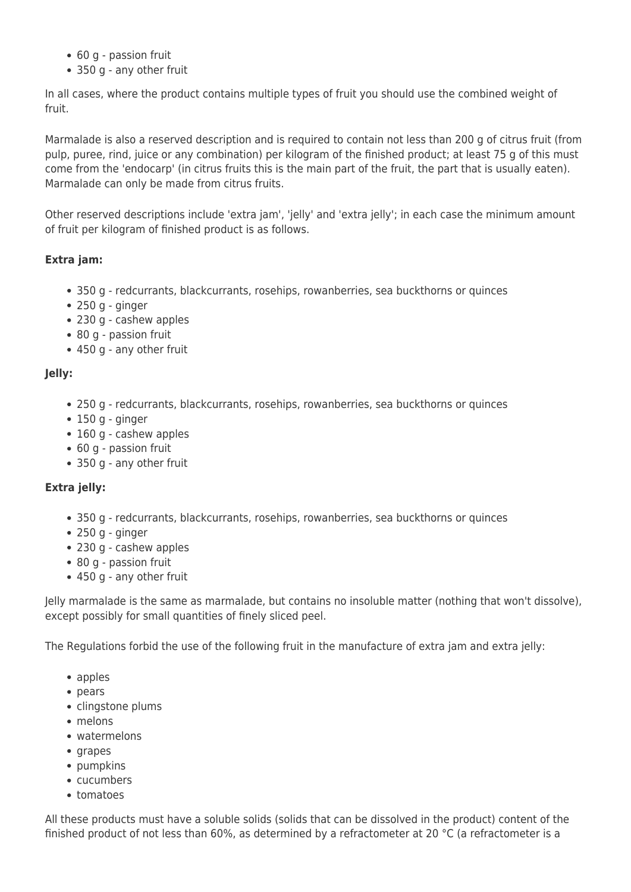- 60 g passion fruit
- 350 g any other fruit

In all cases, where the product contains multiple types of fruit you should use the combined weight of fruit.

Marmalade is also a reserved description and is required to contain not less than 200 g of citrus fruit (from pulp, puree, rind, juice or any combination) per kilogram of the finished product; at least 75 g of this must come from the 'endocarp' (in citrus fruits this is the main part of the fruit, the part that is usually eaten). Marmalade can only be made from citrus fruits.

Other reserved descriptions include 'extra jam', 'jelly' and 'extra jelly'; in each case the minimum amount of fruit per kilogram of finished product is as follows.

#### **Extra jam:**

- 350 g redcurrants, blackcurrants, rosehips, rowanberries, sea buckthorns or quinces
- $\bullet$  250 g ginger
- 230 g cashew apples
- 80 g passion fruit
- 450 g any other fruit

#### **Jelly:**

- 250 g redcurrants, blackcurrants, rosehips, rowanberries, sea buckthorns or quinces
- $\cdot$  150 g ginger
- 160 g cashew apples
- 60 g passion fruit
- 350 g any other fruit

#### **Extra jelly:**

- 350 g redcurrants, blackcurrants, rosehips, rowanberries, sea buckthorns or quinces
- $\bullet$  250 g ginger
- 230 g cashew apples
- 80 g passion fruit
- 450 g any other fruit

Jelly marmalade is the same as marmalade, but contains no insoluble matter (nothing that won't dissolve), except possibly for small quantities of finely sliced peel.

The Regulations forbid the use of the following fruit in the manufacture of extra jam and extra jelly:

- apples
- pears
- clingstone plums
- melons
- watermelons
- grapes
- pumpkins
- cucumbers
- tomatoes

All these products must have a soluble solids (solids that can be dissolved in the product) content of the finished product of not less than 60%, as determined by a refractometer at 20 °C (a refractometer is a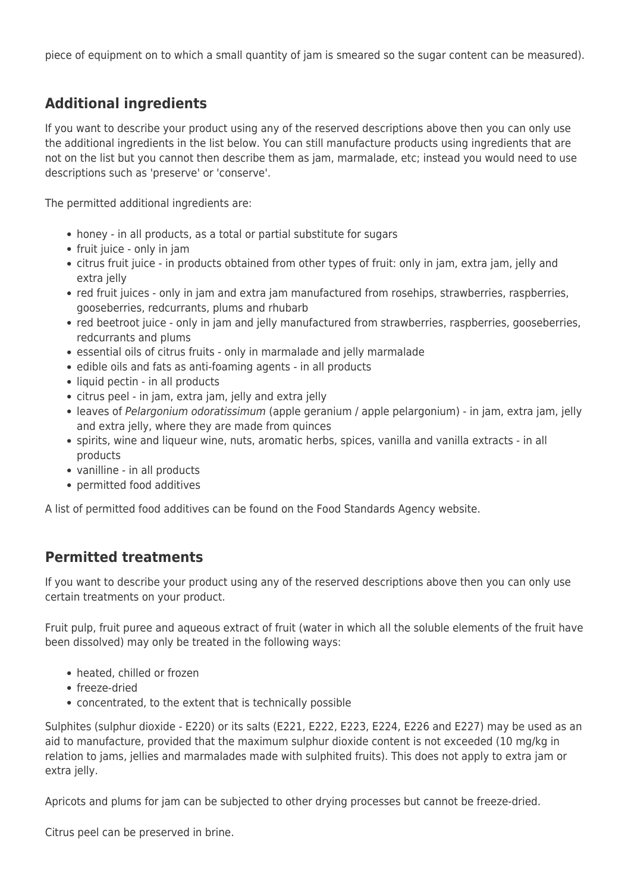piece of equipment on to which a small quantity of jam is smeared so the sugar content can be measured).

## **Additional ingredients**

If you want to describe your product using any of the reserved descriptions above then you can only use the additional ingredients in the list below. You can still manufacture products using ingredients that are not on the list but you cannot then describe them as jam, marmalade, etc; instead you would need to use descriptions such as 'preserve' or 'conserve'.

The permitted additional ingredients are:

- honey in all products, as a total or partial substitute for sugars
- fruit juice only in jam
- citrus fruit juice in products obtained from other types of fruit: only in jam, extra jam, jelly and extra jelly
- red fruit juices only in jam and extra jam manufactured from rosehips, strawberries, raspberries, gooseberries, redcurrants, plums and rhubarb
- red beetroot juice only in jam and jelly manufactured from strawberries, raspberries, gooseberries, redcurrants and plums
- essential oils of citrus fruits only in marmalade and jelly marmalade
- edible oils and fats as anti-foaming agents in all products
- liquid pectin in all products
- citrus peel in jam, extra jam, jelly and extra jelly
- leaves of Pelargonium odoratissimum (apple geranium / apple pelargonium) in jam, extra jam, jelly and extra jelly, where they are made from quinces
- spirits, wine and liqueur wine, nuts, aromatic herbs, spices, vanilla and vanilla extracts in all products
- vanilline in all products
- permitted food additives

A list of permitted food additives can be found on the Food Standards Agency website.

## **Permitted treatments**

If you want to describe your product using any of the reserved descriptions above then you can only use certain treatments on your product.

Fruit pulp, fruit puree and aqueous extract of fruit (water in which all the soluble elements of the fruit have been dissolved) may only be treated in the following ways:

- heated, chilled or frozen
- freeze-dried
- concentrated, to the extent that is technically possible

Sulphites (sulphur dioxide - E220) or its salts (E221, E222, E223, E224, E226 and E227) may be used as an aid to manufacture, provided that the maximum sulphur dioxide content is not exceeded (10 mg/kg in relation to jams, jellies and marmalades made with sulphited fruits). This does not apply to extra jam or extra jelly.

Apricots and plums for jam can be subjected to other drying processes but cannot be freeze-dried.

Citrus peel can be preserved in brine.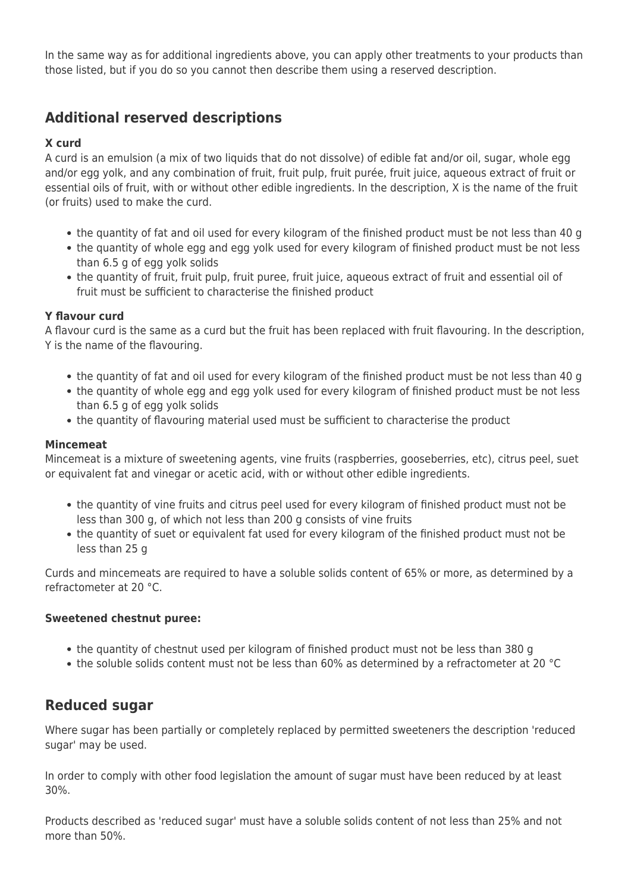In the same way as for additional ingredients above, you can apply other treatments to your products than those listed, but if you do so you cannot then describe them using a reserved description.

## **Additional reserved descriptions**

#### **X curd**

A curd is an emulsion (a mix of two liquids that do not dissolve) of edible fat and/or oil, sugar, whole egg and/or egg yolk, and any combination of fruit, fruit pulp, fruit purée, fruit juice, aqueous extract of fruit or essential oils of fruit, with or without other edible ingredients. In the description, X is the name of the fruit (or fruits) used to make the curd.

- the quantity of fat and oil used for every kilogram of the finished product must be not less than 40 g
- the quantity of whole egg and egg yolk used for every kilogram of finished product must be not less than 6.5 g of egg yolk solids
- the quantity of fruit, fruit pulp, fruit puree, fruit juice, aqueous extract of fruit and essential oil of fruit must be sufficient to characterise the finished product

#### **Y flavour curd**

A flavour curd is the same as a curd but the fruit has been replaced with fruit flavouring. In the description, Y is the name of the flavouring.

- the quantity of fat and oil used for every kilogram of the finished product must be not less than 40 g
- the quantity of whole egg and egg yolk used for every kilogram of finished product must be not less than 6.5 g of egg yolk solids
- the quantity of flavouring material used must be sufficient to characterise the product

#### **Mincemeat**

Mincemeat is a mixture of sweetening agents, vine fruits (raspberries, gooseberries, etc), citrus peel, suet or equivalent fat and vinegar or acetic acid, with or without other edible ingredients.

- the quantity of vine fruits and citrus peel used for every kilogram of finished product must not be less than 300 g, of which not less than 200 g consists of vine fruits
- the quantity of suet or equivalent fat used for every kilogram of the finished product must not be less than 25 g

Curds and mincemeats are required to have a soluble solids content of 65% or more, as determined by a refractometer at 20 °C.

#### **Sweetened chestnut puree:**

- the quantity of chestnut used per kilogram of finished product must not be less than 380 g
- the soluble solids content must not be less than 60% as determined by a refractometer at 20 °C

## **Reduced sugar**

Where sugar has been partially or completely replaced by permitted sweeteners the description 'reduced sugar' may be used.

In order to comply with other food legislation the amount of sugar must have been reduced by at least 30%.

Products described as 'reduced sugar' must have a soluble solids content of not less than 25% and not more than 50%.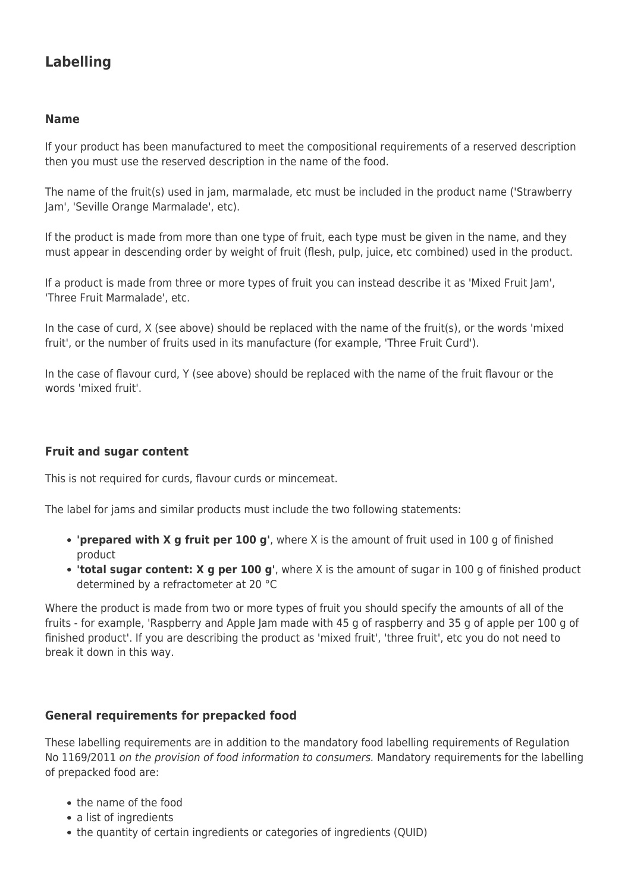## **Labelling**

#### **Name**

If your product has been manufactured to meet the compositional requirements of a reserved description then you must use the reserved description in the name of the food.

The name of the fruit(s) used in jam, marmalade, etc must be included in the product name ('Strawberry Jam', 'Seville Orange Marmalade', etc).

If the product is made from more than one type of fruit, each type must be given in the name, and they must appear in descending order by weight of fruit (flesh, pulp, juice, etc combined) used in the product.

If a product is made from three or more types of fruit you can instead describe it as 'Mixed Fruit Jam', 'Three Fruit Marmalade', etc.

In the case of curd, X (see above) should be replaced with the name of the fruit(s), or the words 'mixed fruit', or the number of fruits used in its manufacture (for example, 'Three Fruit Curd').

In the case of flavour curd, Y (see above) should be replaced with the name of the fruit flavour or the words 'mixed fruit'.

#### **Fruit and sugar content**

This is not required for curds, flavour curds or mincemeat.

The label for jams and similar products must include the two following statements:

- **'prepared with X g fruit per 100 g'**, where X is the amount of fruit used in 100 g of finished product
- **'total sugar content: X g per 100 g'**, where X is the amount of sugar in 100 g of finished product determined by a refractometer at 20 °C

Where the product is made from two or more types of fruit you should specify the amounts of all of the fruits - for example, 'Raspberry and Apple Jam made with 45 g of raspberry and 35 g of apple per 100 g of finished product'. If you are describing the product as 'mixed fruit', 'three fruit', etc you do not need to break it down in this way.

#### **General requirements for prepacked food**

These labelling requirements are in addition to the mandatory food labelling requirements of Regulation No 1169/2011 on the provision of food information to consumers. Mandatory requirements for the labelling of prepacked food are:

- the name of the food
- a list of ingredients
- the quantity of certain ingredients or categories of ingredients (QUID)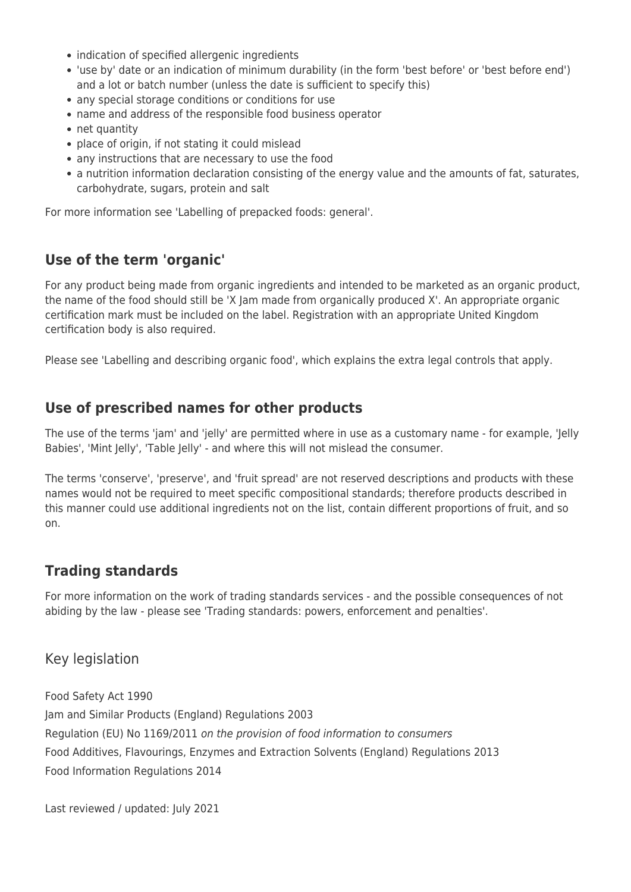- indication of specified allergenic ingredients
- 'use by' date or an indication of minimum durability (in the form 'best before' or 'best before end') and a lot or batch number (unless the date is sufficient to specify this)
- any special storage conditions or conditions for use
- name and address of the responsible food business operator
- net quantity
- place of origin, if not stating it could mislead
- any instructions that are necessary to use the food
- a nutrition information declaration consisting of the energy value and the amounts of fat, saturates, carbohydrate, sugars, protein and salt

For more information see 'Labelling of prepacked foods: general'.

## **Use of the term 'organic'**

For any product being made from organic ingredients and intended to be marketed as an organic product, the name of the food should still be 'X Jam made from organically produced X'. An appropriate organic certification mark must be included on the label. Registration with an appropriate United Kingdom certification body is also required.

Please see 'Labelling and describing organic food', which explains the extra legal controls that apply.

## **Use of prescribed names for other products**

The use of the terms 'jam' and 'jelly' are permitted where in use as a customary name - for example, 'Jelly Babies', 'Mint Jelly', 'Table Jelly' - and where this will not mislead the consumer.

The terms 'conserve', 'preserve', and 'fruit spread' are not reserved descriptions and products with these names would not be required to meet specific compositional standards; therefore products described in this manner could use additional ingredients not on the list, contain different proportions of fruit, and so on.

## **Trading standards**

For more information on the work of trading standards services - and the possible consequences of not abiding by the law - please see 'Trading standards: powers, enforcement and penalties'.

Key legislation

Food Safety Act 1990 Jam and Similar Products (England) Regulations 2003 Regulation (EU) No 1169/2011 on the provision of food information to consumers Food Additives, Flavourings, Enzymes and Extraction Solvents (England) Regulations 2013 Food Information Regulations 2014

Last reviewed / updated: July 2021